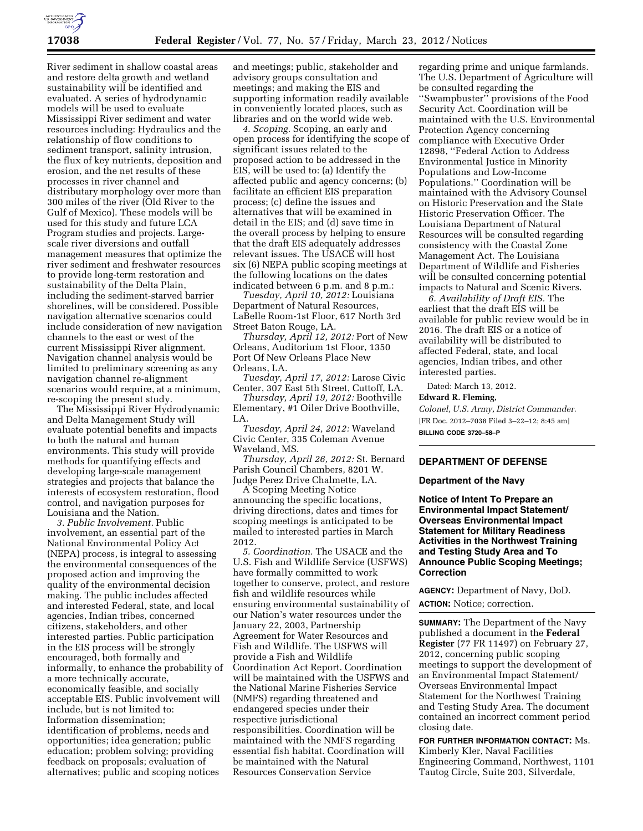

River sediment in shallow coastal areas and restore delta growth and wetland sustainability will be identified and evaluated. A series of hydrodynamic models will be used to evaluate Mississippi River sediment and water resources including: Hydraulics and the relationship of flow conditions to sediment transport, salinity intrusion, the flux of key nutrients, deposition and erosion, and the net results of these processes in river channel and distributary morphology over more than 300 miles of the river (Old River to the Gulf of Mexico). These models will be used for this study and future LCA Program studies and projects. Largescale river diversions and outfall management measures that optimize the river sediment and freshwater resources to provide long-term restoration and sustainability of the Delta Plain, including the sediment-starved barrier shorelines, will be considered. Possible navigation alternative scenarios could include consideration of new navigation channels to the east or west of the current Mississippi River alignment. Navigation channel analysis would be limited to preliminary screening as any navigation channel re-alignment scenarios would require, at a minimum, re-scoping the present study.

The Mississippi River Hydrodynamic and Delta Management Study will evaluate potential benefits and impacts to both the natural and human environments. This study will provide methods for quantifying effects and developing large-scale management strategies and projects that balance the interests of ecosystem restoration, flood control, and navigation purposes for Louisiana and the Nation.

*3. Public Involvement.* Public involvement, an essential part of the National Environmental Policy Act (NEPA) process, is integral to assessing the environmental consequences of the proposed action and improving the quality of the environmental decision making. The public includes affected and interested Federal, state, and local agencies, Indian tribes, concerned citizens, stakeholders, and other interested parties. Public participation in the EIS process will be strongly encouraged, both formally and informally, to enhance the probability of a more technically accurate, economically feasible, and socially acceptable EIS. Public involvement will include, but is not limited to: Information dissemination; identification of problems, needs and opportunities; idea generation; public education; problem solving; providing feedback on proposals; evaluation of alternatives; public and scoping notices

and meetings; public, stakeholder and advisory groups consultation and meetings; and making the EIS and supporting information readily available in conveniently located places, such as libraries and on the world wide web.

*4. Scoping.* Scoping, an early and open process for identifying the scope of significant issues related to the proposed action to be addressed in the EIS, will be used to: (a) Identify the affected public and agency concerns; (b) facilitate an efficient EIS preparation process; (c) define the issues and alternatives that will be examined in detail in the EIS; and (d) save time in the overall process by helping to ensure that the draft EIS adequately addresses relevant issues. The USACE will host six (6) NEPA public scoping meetings at the following locations on the dates indicated between 6 p.m. and 8 p.m.:

*Tuesday, April 10, 2012:* Louisiana Department of Natural Resources, LaBelle Room-1st Floor, 617 North 3rd Street Baton Rouge, LA.

*Thursday, April 12, 2012:* Port of New Orleans, Auditorium 1st Floor, 1350 Port Of New Orleans Place New Orleans, LA.

*Tuesday, April 17, 2012:* Larose Civic Center, 307 East 5th Street, Cuttoff, LA.

*Thursday, April 19, 2012:* Boothville Elementary, #1 Oiler Drive Boothville, LA.

*Tuesday, April 24, 2012:* Waveland Civic Center, 335 Coleman Avenue Waveland, MS.

*Thursday, April 26, 2012:* St. Bernard Parish Council Chambers, 8201 W. Judge Perez Drive Chalmette, LA.

A Scoping Meeting Notice announcing the specific locations, driving directions, dates and times for scoping meetings is anticipated to be mailed to interested parties in March 2012.

*5. Coordination.* The USACE and the U.S. Fish and Wildlife Service (USFWS) have formally committed to work together to conserve, protect, and restore fish and wildlife resources while ensuring environmental sustainability of our Nation's water resources under the January 22, 2003, Partnership Agreement for Water Resources and Fish and Wildlife. The USFWS will provide a Fish and Wildlife Coordination Act Report. Coordination will be maintained with the USFWS and the National Marine Fisheries Service (NMFS) regarding threatened and endangered species under their respective jurisdictional responsibilities. Coordination will be maintained with the NMFS regarding essential fish habitat. Coordination will be maintained with the Natural Resources Conservation Service

regarding prime and unique farmlands. The U.S. Department of Agriculture will be consulted regarding the ''Swampbuster'' provisions of the Food Security Act. Coordination will be maintained with the U.S. Environmental Protection Agency concerning compliance with Executive Order 12898, ''Federal Action to Address Environmental Justice in Minority Populations and Low-Income Populations.'' Coordination will be maintained with the Advisory Counsel on Historic Preservation and the State Historic Preservation Officer. The Louisiana Department of Natural Resources will be consulted regarding consistency with the Coastal Zone Management Act. The Louisiana Department of Wildlife and Fisheries will be consulted concerning potential impacts to Natural and Scenic Rivers.

*6. Availability of Draft EIS.* The earliest that the draft EIS will be available for public review would be in 2016. The draft EIS or a notice of availability will be distributed to affected Federal, state, and local agencies, Indian tribes, and other interested parties.

Dated: March 13, 2012.

### **Edward R. Fleming,**

*Colonel, U.S. Army, District Commander.*  [FR Doc. 2012–7038 Filed 3–22–12; 8:45 am] **BILLING CODE 3720–58–P** 

## **DEPARTMENT OF DEFENSE**

### **Department of the Navy**

**Notice of Intent To Prepare an Environmental Impact Statement/ Overseas Environmental Impact Statement for Military Readiness Activities in the Northwest Training and Testing Study Area and To Announce Public Scoping Meetings; Correction** 

**AGENCY:** Department of Navy, DoD. **ACTION:** Notice; correction.

**SUMMARY:** The Department of the Navy published a document in the **Federal Register** (77 FR 11497) on February 27, 2012, concerning public scoping meetings to support the development of an Environmental Impact Statement/ Overseas Environmental Impact Statement for the Northwest Training and Testing Study Area. The document contained an incorrect comment period closing date.

**FOR FURTHER INFORMATION CONTACT:** Ms. Kimberly Kler, Naval Facilities Engineering Command, Northwest, 1101 Tautog Circle, Suite 203, Silverdale,